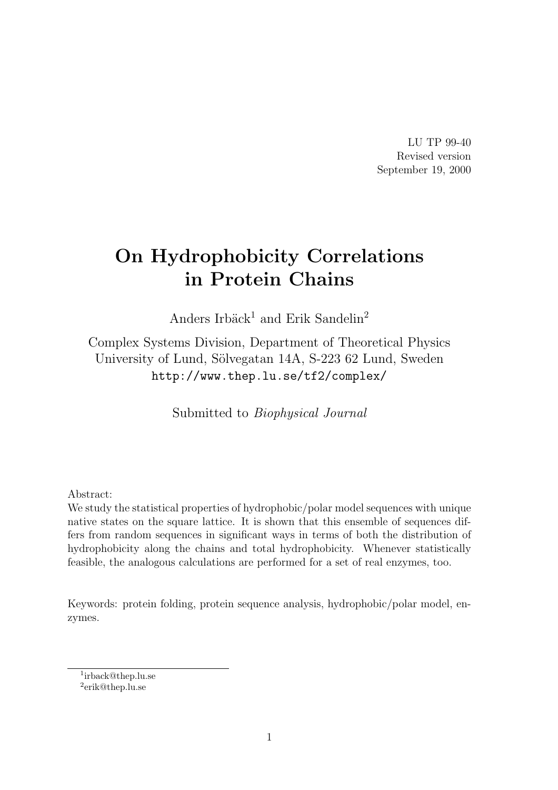LU TP 99-40 Revised version September 19, 2000

# On Hydrophobicity Correlations in Protein Chains

Anders Irbäck<sup>1</sup> and Erik Sandelin<sup>2</sup>

Complex Systems Division, Department of Theoretical Physics University of Lund, Sölvegatan 14A, S-223 62 Lund, Sweden http://www.thep.lu.se/tf2/complex/

Submitted to Biophysical Journal

Abstract:

We study the statistical properties of hydrophobic/polar model sequences with unique native states on the square lattice. It is shown that this ensemble of sequences differs from random sequences in significant ways in terms of both the distribution of hydrophobicity along the chains and total hydrophobicity. Whenever statistically feasible, the analogous calculations are performed for a set of real enzymes, too.

Keywords: protein folding, protein sequence analysis, hydrophobic/polar model, enzymes.

1 irback@thep.lu.se

<sup>2</sup> erik@thep.lu.se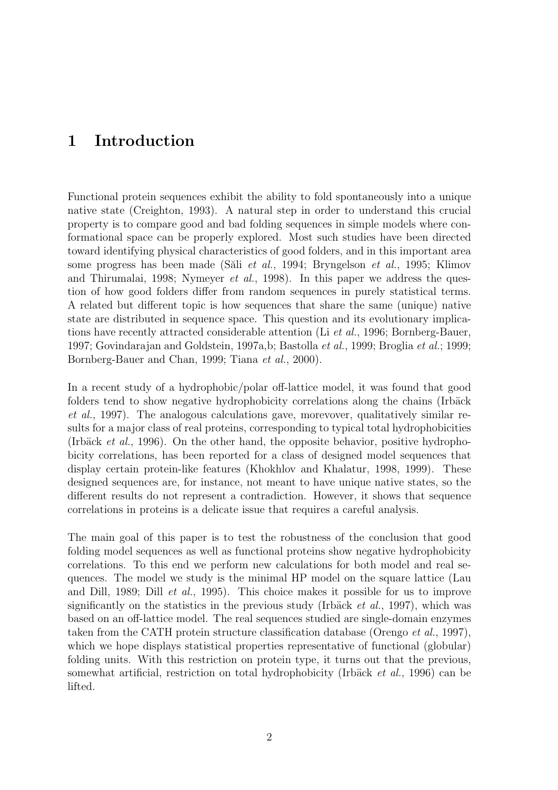# 1 Introduction

Functional protein sequences exhibit the ability to fold spontaneously into a unique native state (Creighton, 1993). A natural step in order to understand this crucial property is to compare good and bad folding sequences in simple models where conformational space can be properly explored. Most such studies have been directed toward identifying physical characteristics of good folders, and in this important area some progress has been made (Sali *et al.*, 1994; Bryngelson *et al.*, 1995; Klimov and Thirumalai, 1998; Nymeyer et al., 1998). In this paper we address the question of how good folders differ from random sequences in purely statistical terms. A related but different topic is how sequences that share the same (unique) native state are distributed in sequence space. This question and its evolutionary implications have recently attracted considerable attention (Li et al., 1996; Bornberg-Bauer, 1997; Govindarajan and Goldstein, 1997a,b; Bastolla et al., 1999; Broglia et al.; 1999; Bornberg-Bauer and Chan, 1999; Tiana et al., 2000).

In a recent study of a hydrophobic/polar off-lattice model, it was found that good folders tend to show negative hydrophobicity correlations along the chains (Irbäck et al., 1997). The analogous calculations gave, morevover, qualitatively similar results for a major class of real proteins, corresponding to typical total hydrophobicities (Irbäck *et al.*, 1996). On the other hand, the opposite behavior, positive hydrophobicity correlations, has been reported for a class of designed model sequences that display certain protein-like features (Khokhlov and Khalatur, 1998, 1999). These designed sequences are, for instance, not meant to have unique native states, so the different results do not represent a contradiction. However, it shows that sequence correlations in proteins is a delicate issue that requires a careful analysis.

The main goal of this paper is to test the robustness of the conclusion that good folding model sequences as well as functional proteins show negative hydrophobicity correlations. To this end we perform new calculations for both model and real sequences. The model we study is the minimal HP model on the square lattice (Lau and Dill, 1989; Dill et al., 1995). This choice makes it possible for us to improve significantly on the statistics in the previous study (Irbäck *et al.*, 1997), which was based on an off-lattice model. The real sequences studied are single-domain enzymes taken from the CATH protein structure classification database (Orengo et al., 1997), which we hope displays statistical properties representative of functional (globular) folding units. With this restriction on protein type, it turns out that the previous, somewhat artificial, restriction on total hydrophobicity (Irbäck et al., 1996) can be lifted.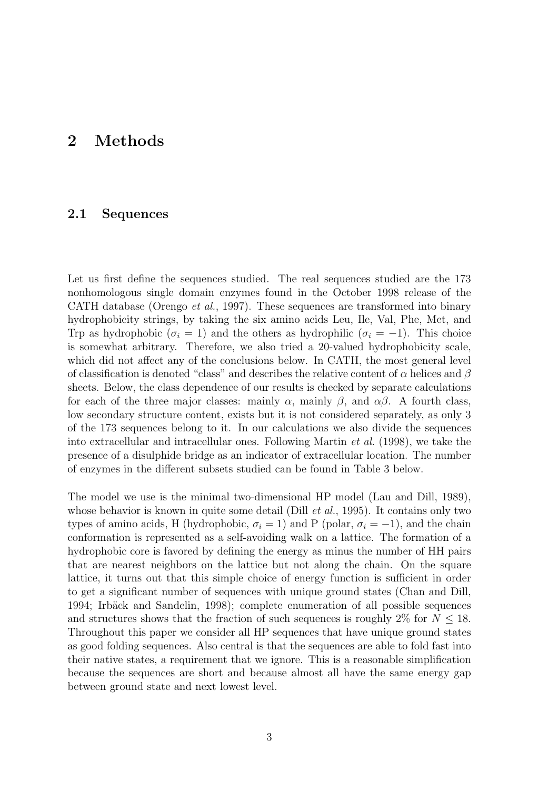# 2 Methods

### 2.1 Sequences

Let us first define the sequences studied. The real sequences studied are the 173 nonhomologous single domain enzymes found in the October 1998 release of the CATH database (Orengo et al., 1997). These sequences are transformed into binary hydrophobicity strings, by taking the six amino acids Leu, Ile, Val, Phe, Met, and Trp as hydrophobic ( $\sigma_i = 1$ ) and the others as hydrophilic ( $\sigma_i = -1$ ). This choice is somewhat arbitrary. Therefore, we also tried a 20-valued hydrophobicity scale, which did not affect any of the conclusions below. In CATH, the most general level of classification is denoted "class" and describes the relative content of  $\alpha$  helices and  $\beta$ sheets. Below, the class dependence of our results is checked by separate calculations for each of the three major classes: mainly  $\alpha$ , mainly  $\beta$ , and  $\alpha\beta$ . A fourth class, low secondary structure content, exists but it is not considered separately, as only 3 of the 173 sequences belong to it. In our calculations we also divide the sequences into extracellular and intracellular ones. Following Martin et al. (1998), we take the presence of a disulphide bridge as an indicator of extracellular location. The number of enzymes in the different subsets studied can be found in Table 3 below.

The model we use is the minimal two-dimensional HP model (Lau and Dill, 1989), whose behavior is known in quite some detail (Dill  $et al., 1995$ ). It contains only two types of amino acids, H (hydrophobic,  $\sigma_i = 1$ ) and P (polar,  $\sigma_i = -1$ ), and the chain conformation is represented as a self-avoiding walk on a lattice. The formation of a hydrophobic core is favored by defining the energy as minus the number of HH pairs that are nearest neighbors on the lattice but not along the chain. On the square lattice, it turns out that this simple choice of energy function is sufficient in order to get a significant number of sequences with unique ground states (Chan and Dill, 1994; Irbäck and Sandelin, 1998); complete enumeration of all possible sequences and structures shows that the fraction of such sequences is roughly 2% for  $N \leq 18$ . Throughout this paper we consider all HP sequences that have unique ground states as good folding sequences. Also central is that the sequences are able to fold fast into their native states, a requirement that we ignore. This is a reasonable simplification because the sequences are short and because almost all have the same energy gap between ground state and next lowest level.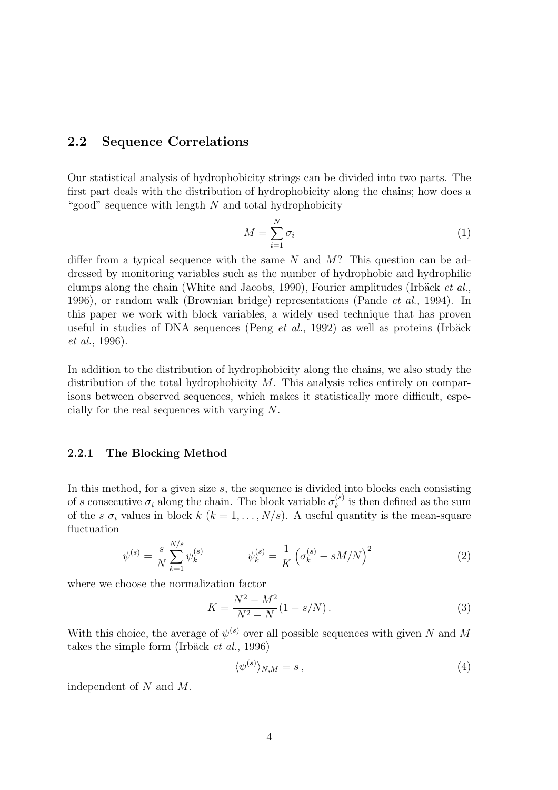### 2.2 Sequence Correlations

Our statistical analysis of hydrophobicity strings can be divided into two parts. The first part deals with the distribution of hydrophobicity along the chains; how does a "good" sequence with length  $N$  and total hydrophobicity

$$
M = \sum_{i=1}^{N} \sigma_i \tag{1}
$$

differ from a typical sequence with the same N and  $M$ ? This question can be addressed by monitoring variables such as the number of hydrophobic and hydrophilic clumps along the chain (White and Jacobs, 1990), Fourier amplitudes (Irbäck  $et al.$ , 1996), or random walk (Brownian bridge) representations (Pande et al., 1994). In this paper we work with block variables, a widely used technique that has proven useful in studies of DNA sequences (Peng  $et \ al.,\ 1992$ ) as well as proteins (Irbäck et al., 1996).

In addition to the distribution of hydrophobicity along the chains, we also study the distribution of the total hydrophobicity M. This analysis relies entirely on comparisons between observed sequences, which makes it statistically more difficult, especially for the real sequences with varying N.

#### 2.2.1 The Blocking Method

In this method, for a given size  $s$ , the sequence is divided into blocks each consisting of s consecutive  $\sigma_i$  along the chain. The block variable  $\sigma_k^{(s)}$  $\binom{s}{k}$  is then defined as the sum of the s  $\sigma_i$  values in block  $k$   $(k = 1, \ldots, N/s)$ . A useful quantity is the mean-square fluctuation

$$
\psi^{(s)} = \frac{s}{N} \sum_{k=1}^{N/s} \psi_k^{(s)} \qquad \psi_k^{(s)} = \frac{1}{K} \left( \sigma_k^{(s)} - sM/N \right)^2 \tag{2}
$$

where we choose the normalization factor

$$
K = \frac{N^2 - M^2}{N^2 - N} (1 - s/N). \tag{3}
$$

With this choice, the average of  $\psi^{(s)}$  over all possible sequences with given N and M takes the simple form (Irbäck  $et \ al.$ , 1996)

$$
\langle \psi^{(s)} \rangle_{N,M} = s \,, \tag{4}
$$

independent of N and M.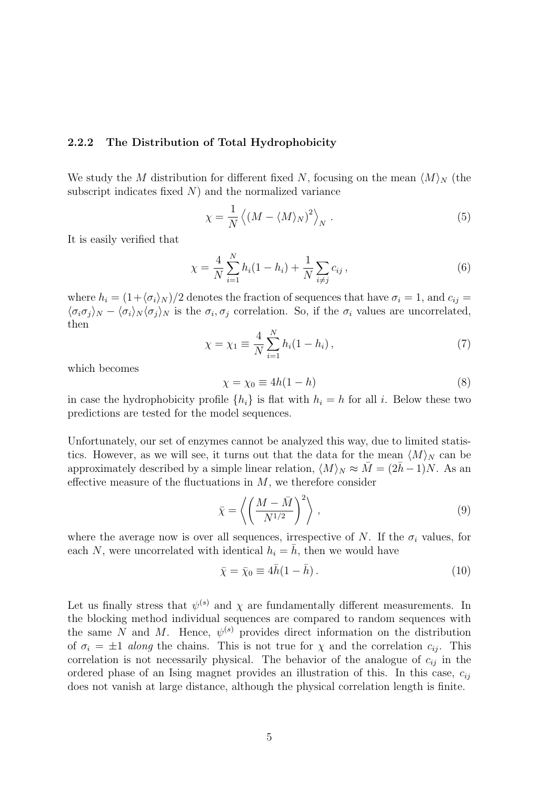#### 2.2.2 The Distribution of Total Hydrophobicity

We study the M distribution for different fixed N, focusing on the mean  $\langle M \rangle_N$  (the subscript indicates fixed  $N$ ) and the normalized variance

$$
\chi = \frac{1}{N} \left\langle \left( M - \langle M \rangle_N \right)^2 \right\rangle_N. \tag{5}
$$

It is easily verified that

$$
\chi = \frac{4}{N} \sum_{i=1}^{N} h_i (1 - h_i) + \frac{1}{N} \sum_{i \neq j} c_{ij}, \qquad (6)
$$

where  $h_i = (1+\langle \sigma_i \rangle_N)/2$  denotes the fraction of sequences that have  $\sigma_i = 1$ , and  $c_{ij} =$  $\langle \sigma_i \sigma_j \rangle_N - \langle \sigma_i \rangle_N \langle \sigma_j \rangle_N$  is the  $\sigma_i$ ,  $\sigma_j$  correlation. So, if the  $\sigma_i$  values are uncorrelated, then

$$
\chi = \chi_1 \equiv \frac{4}{N} \sum_{i=1}^{N} h_i (1 - h_i), \qquad (7)
$$

which becomes

$$
\chi = \chi_0 \equiv 4h(1-h) \tag{8}
$$

in case the hydrophobicity profile  $\{h_i\}$  is flat with  $h_i = h$  for all i. Below these two predictions are tested for the model sequences.

Unfortunately, our set of enzymes cannot be analyzed this way, due to limited statistics. However, as we will see, it turns out that the data for the mean  $\langle M \rangle_N$  can be approximately described by a simple linear relation,  $\langle M \rangle_N \approx \bar{M} = (2\bar{h} - 1)N$ . As an effective measure of the fluctuations in  $M$ , we therefore consider

$$
\bar{\chi} = \left\langle \left(\frac{M - \bar{M}}{N^{1/2}}\right)^2 \right\rangle, \tag{9}
$$

where the average now is over all sequences, irrespective of N. If the  $\sigma_i$  values, for each N, were uncorrelated with identical  $h_i = \overline{h}$ , then we would have

$$
\bar{\chi} = \bar{\chi}_0 \equiv 4\bar{h}(1 - \bar{h}).\tag{10}
$$

Let us finally stress that  $\psi^{(s)}$  and  $\chi$  are fundamentally different measurements. In the blocking method individual sequences are compared to random sequences with the same N and M. Hence,  $\psi^{(s)}$  provides direct information on the distribution of  $\sigma_i = \pm 1$  along the chains. This is not true for  $\chi$  and the correlation  $c_{ij}$ . This correlation is not necessarily physical. The behavior of the analogue of  $c_{ij}$  in the ordered phase of an Ising magnet provides an illustration of this. In this case,  $c_{ij}$ does not vanish at large distance, although the physical correlation length is finite.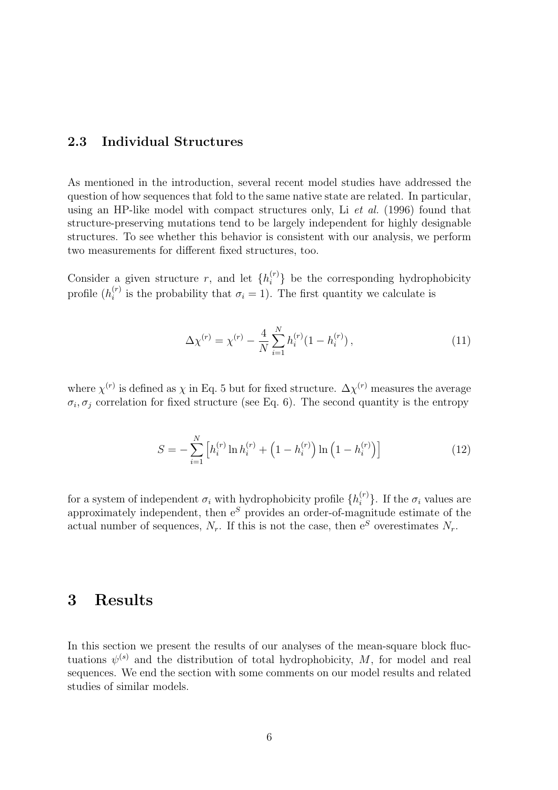# 2.3 Individual Structures

As mentioned in the introduction, several recent model studies have addressed the question of how sequences that fold to the same native state are related. In particular, using an HP-like model with compact structures only, Li et al. (1996) found that structure-preserving mutations tend to be largely independent for highly designable structures. To see whether this behavior is consistent with our analysis, we perform two measurements for different fixed structures, too.

Consider a given structure r, and let  $\{h_i^{(r)}\}$  be the corresponding hydrophobicity profile  $(h_i^{(r)}$  $i^{(r)}$  is the probability that  $\sigma_i = 1$ ). The first quantity we calculate is

$$
\Delta \chi^{(r)} = \chi^{(r)} - \frac{4}{N} \sum_{i=1}^{N} h_i^{(r)} (1 - h_i^{(r)}), \qquad (11)
$$

where  $\chi^{(r)}$  is defined as  $\chi$  in Eq. 5 but for fixed structure.  $\Delta \chi^{(r)}$  measures the average  $\sigma_i, \sigma_j$  correlation for fixed structure (see Eq. 6). The second quantity is the entropy

$$
S = -\sum_{i=1}^{N} \left[ h_i^{(r)} \ln h_i^{(r)} + \left( 1 - h_i^{(r)} \right) \ln \left( 1 - h_i^{(r)} \right) \right]
$$
(12)

for a system of independent  $\sigma_i$  with hydrophobicity profile  $\{h_i^{(r)}\}$ . If the  $\sigma_i$  values are approximately independent, then  $e^{S}$  provides an order-of-magnitude estimate of the actual number of sequences,  $N_r$ . If this is not the case, then  $e^S$  overestimates  $N_r$ .

# 3 Results

In this section we present the results of our analyses of the mean-square block fluctuations  $\psi^{(s)}$  and the distribution of total hydrophobicity, M, for model and real sequences. We end the section with some comments on our model results and related studies of similar models.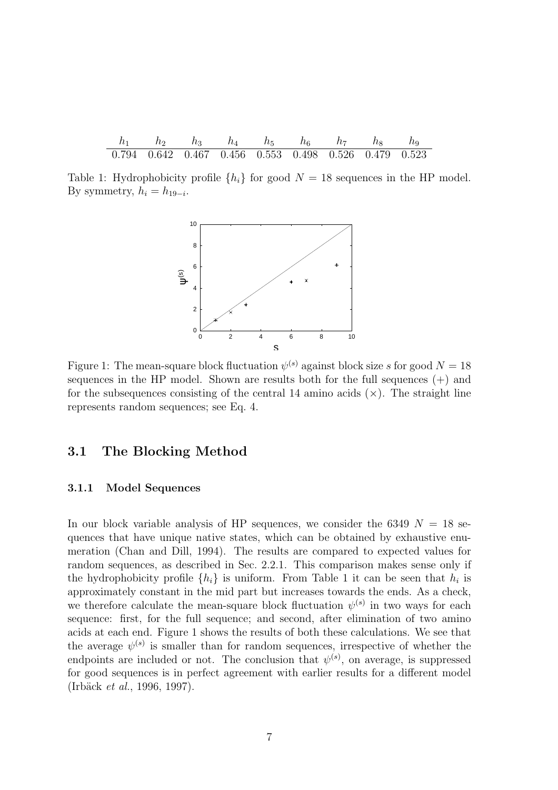|  | $h_3$ $h_4$ $h_5$ $h_6$ $h_7$ $h_8$ $h_9$                               |  |  |  |
|--|-------------------------------------------------------------------------|--|--|--|
|  | $0.794$ $0.642$ $0.467$ $0.456$ $0.553$ $0.498$ $0.526$ $0.479$ $0.523$ |  |  |  |

Table 1: Hydrophobicity profile  $\{h_i\}$  for good  $N = 18$  sequences in the HP model. By symmetry,  $h_i = h_{19-i}$ .



Figure 1: The mean-square block fluctuation  $\psi^{(s)}$  against block size s for good  $N = 18$ sequences in the HP model. Shown are results both for the full sequences  $(+)$  and for the subsequences consisting of the central 14 amino acids  $(\times)$ . The straight line represents random sequences; see Eq. 4.

### 3.1 The Blocking Method

#### 3.1.1 Model Sequences

In our block variable analysis of HP sequences, we consider the 6349  $N = 18$  sequences that have unique native states, which can be obtained by exhaustive enumeration (Chan and Dill, 1994). The results are compared to expected values for random sequences, as described in Sec. 2.2.1. This comparison makes sense only if the hydrophobicity profile  $\{h_i\}$  is uniform. From Table 1 it can be seen that  $h_i$  is approximately constant in the mid part but increases towards the ends. As a check, we therefore calculate the mean-square block fluctuation  $\psi^{(s)}$  in two ways for each sequence: first, for the full sequence; and second, after elimination of two amino acids at each end. Figure 1 shows the results of both these calculations. We see that the average  $\psi^{(s)}$  is smaller than for random sequences, irrespective of whether the endpoints are included or not. The conclusion that  $\psi^{(s)}$ , on average, is suppressed for good sequences is in perfect agreement with earlier results for a different model (Irb¨ack et al., 1996, 1997).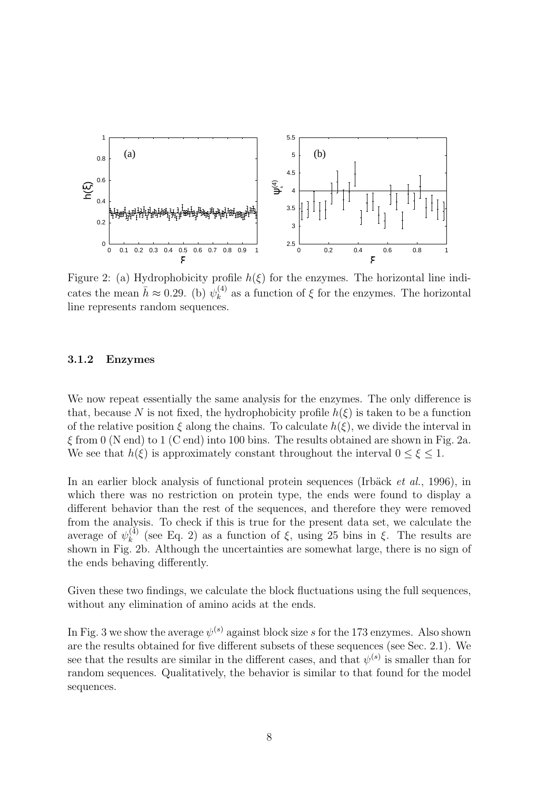

Figure 2: (a) Hydrophobicity profile  $h(\xi)$  for the enzymes. The horizontal line indicates the mean  $\bar{h} \approx 0.29$ . (b)  $\psi_k^{(4)}$  $\kappa^{(4)}$  as a function of  $\xi$  for the enzymes. The horizontal line represents random sequences.

#### 3.1.2 Enzymes

We now repeat essentially the same analysis for the enzymes. The only difference is that, because N is not fixed, the hydrophobicity profile  $h(\xi)$  is taken to be a function of the relative position  $\xi$  along the chains. To calculate  $h(\xi)$ , we divide the interval in  $\xi$  from 0 (N end) to 1 (C end) into 100 bins. The results obtained are shown in Fig. 2a. We see that  $h(\xi)$  is approximately constant throughout the interval  $0 \leq \xi \leq 1$ .

In an earlier block analysis of functional protein sequences (Irbäck et al., 1996), in which there was no restriction on protein type, the ends were found to display a different behavior than the rest of the sequences, and therefore they were removed from the analysis. To check if this is true for the present data set, we calculate the average of  $\psi_k^{(\check{4})}$ <sup>(4)</sup> (see Eq. 2) as a function of  $\xi$ , using 25 bins in  $\xi$ . The results are shown in Fig. 2b. Although the uncertainties are somewhat large, there is no sign of the ends behaving differently.

Given these two findings, we calculate the block fluctuations using the full sequences, without any elimination of amino acids at the ends.

In Fig. 3 we show the average  $\psi^{(s)}$  against block size s for the 173 enzymes. Also shown are the results obtained for five different subsets of these sequences (see Sec. 2.1). We see that the results are similar in the different cases, and that  $\psi^{(s)}$  is smaller than for random sequences. Qualitatively, the behavior is similar to that found for the model sequences.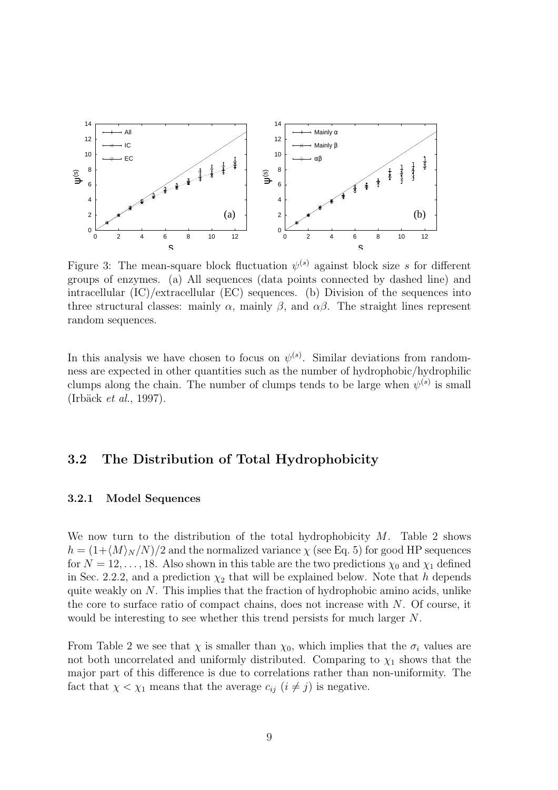

Figure 3: The mean-square block fluctuation  $\psi^{(s)}$  against block size s for different groups of enzymes. (a) All sequences (data points connected by dashed line) and intracellular  $(IC)/extrac{ellular}$  (EC) sequences. (b) Division of the sequences into three structural classes: mainly  $\alpha$ , mainly  $\beta$ , and  $\alpha\beta$ . The straight lines represent random sequences.

In this analysis we have chosen to focus on  $\psi^{(s)}$ . Similar deviations from randomness are expected in other quantities such as the number of hydrophobic/hydrophilic clumps along the chain. The number of clumps tends to be large when  $\psi^{(s)}$  is small  $(Irbäck et al., 1997).$ 

# 3.2 The Distribution of Total Hydrophobicity

#### 3.2.1 Model Sequences

We now turn to the distribution of the total hydrophobicity  $M$ . Table 2 shows  $h = (1 + \langle M \rangle_N /N)/2$  and the normalized variance  $\chi$  (see Eq. 5) for good HP sequences for  $N = 12, \ldots, 18$ . Also shown in this table are the two predictions  $\chi_0$  and  $\chi_1$  defined in Sec. 2.2.2, and a prediction  $\chi_2$  that will be explained below. Note that h depends quite weakly on N. This implies that the fraction of hydrophobic amino acids, unlike the core to surface ratio of compact chains, does not increase with  $N$ . Of course, it would be interesting to see whether this trend persists for much larger N.

From Table 2 we see that  $\chi$  is smaller than  $\chi_0$ , which implies that the  $\sigma_i$  values are not both uncorrelated and uniformly distributed. Comparing to  $\chi_1$  shows that the major part of this difference is due to correlations rather than non-uniformity. The fact that  $\chi < \chi_1$  means that the average  $c_{ij}$   $(i \neq j)$  is negative.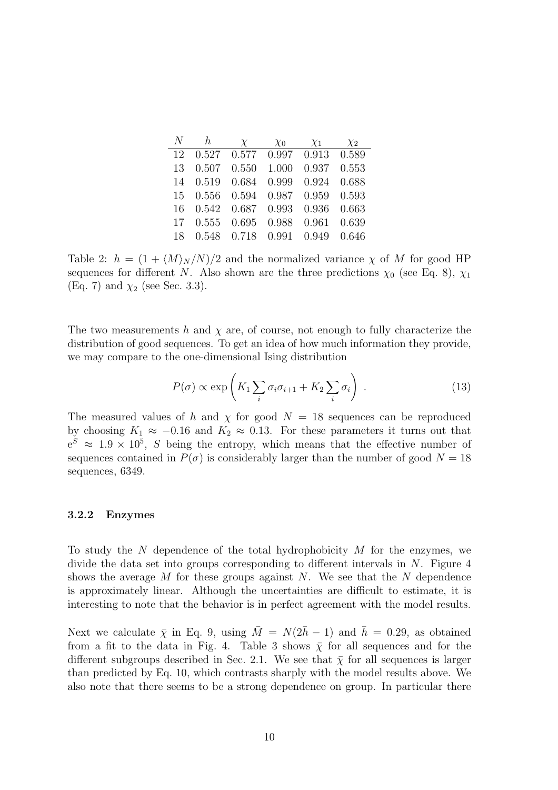| N  | $\hbar$ | $\chi$            | $\chi_0$ | $\chi_1$ | $\chi_2$ |
|----|---------|-------------------|----------|----------|----------|
| 12 |         | 0.527 0.577 0.997 |          | 0.913    | 0.589    |
| 13 | 0.507   | 0.550             | 1.000    | 0.937    | 0.553    |
| 14 | 0.519   | 0.684             | 0.999    | 0.924    | 0.688    |
| 15 | 0.556   | 0.594             | 0.987    | 0.959    | 0.593    |
| 16 | 0.542   | 0.687             | 0.993    | 0.936    | 0.663    |
| 17 | 0.555   | 0.695             | 0.988    | 0.961    | 0.639    |
| 18 | 0.548   | 0.718             | 0.991    | 0.949    | 0.646    |

Table 2:  $h = (1 + \langle M \rangle_N / N )/2$  and the normalized variance  $\chi$  of M for good HP sequences for different N. Also shown are the three predictions  $\chi_0$  (see Eq. 8),  $\chi_1$ (Eq. 7) and  $\chi_2$  (see Sec. 3.3).

The two measurements h and  $\chi$  are, of course, not enough to fully characterize the distribution of good sequences. To get an idea of how much information they provide, we may compare to the one-dimensional Ising distribution

$$
P(\sigma) \propto \exp\left(K_1 \sum_i \sigma_i \sigma_{i+1} + K_2 \sum_i \sigma_i\right) \ . \tag{13}
$$

The measured values of h and  $\chi$  for good  $N = 18$  sequences can be reproduced by choosing  $K_1 \approx -0.16$  and  $K_2 \approx 0.13$ . For these parameters it turns out that  $e^{S} \approx 1.9 \times 10^{5}$ , S being the entropy, which means that the effective number of sequences contained in  $P(\sigma)$  is considerably larger than the number of good  $N = 18$ sequences, 6349.

#### 3.2.2 Enzymes

To study the N dependence of the total hydrophobicity  $M$  for the enzymes, we divide the data set into groups corresponding to different intervals in  $N$ . Figure 4 shows the average M for these groups against N. We see that the N dependence is approximately linear. Although the uncertainties are difficult to estimate, it is interesting to note that the behavior is in perfect agreement with the model results.

Next we calculate  $\bar{\chi}$  in Eq. 9, using  $\bar{M} = N(2\bar{h}-1)$  and  $\bar{h} = 0.29$ , as obtained from a fit to the data in Fig. 4. Table 3 shows  $\bar{\chi}$  for all sequences and for the different subgroups described in Sec. 2.1. We see that  $\bar{\chi}$  for all sequences is larger than predicted by Eq. 10, which contrasts sharply with the model results above. We also note that there seems to be a strong dependence on group. In particular there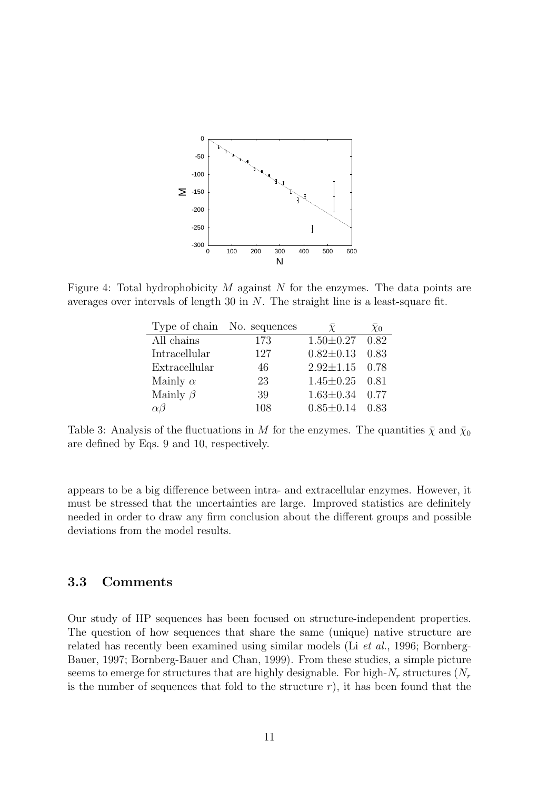

Figure 4: Total hydrophobicity  $M$  against  $N$  for the enzymes. The data points are averages over intervals of length 30 in N. The straight line is a least-square fit.

|                 | Type of chain No. sequences |                      | $\chi_0$ |
|-----------------|-----------------------------|----------------------|----------|
| All chains      | 173                         | $1.50 \pm 0.27$ 0.82 |          |
| Intracellular   | 127                         | $0.82 \pm 0.13$ 0.83 |          |
| Extracellular   | 46                          | $2.92 \pm 1.15$ 0.78 |          |
| Mainly $\alpha$ | 23                          | $1.45 \pm 0.25$ 0.81 |          |
| Mainly $\beta$  | 39                          | $1.63 \pm 0.34$ 0.77 |          |
| $\alpha\beta$   | 108                         | $0.85 \pm 0.14$      | 0.83     |

Table 3: Analysis of the fluctuations in M for the enzymes. The quantities  $\bar{\chi}$  and  $\bar{\chi}_0$ are defined by Eqs. 9 and 10, respectively.

appears to be a big difference between intra- and extracellular enzymes. However, it must be stressed that the uncertainties are large. Improved statistics are definitely needed in order to draw any firm conclusion about the different groups and possible deviations from the model results.

### 3.3 Comments

Our study of HP sequences has been focused on structure-independent properties. The question of how sequences that share the same (unique) native structure are related has recently been examined using similar models (Li et al., 1996; Bornberg-Bauer, 1997; Bornberg-Bauer and Chan, 1999). From these studies, a simple picture seems to emerge for structures that are highly designable. For high- $N_r$  structures  $(N_r)$ is the number of sequences that fold to the structure  $r$ ), it has been found that the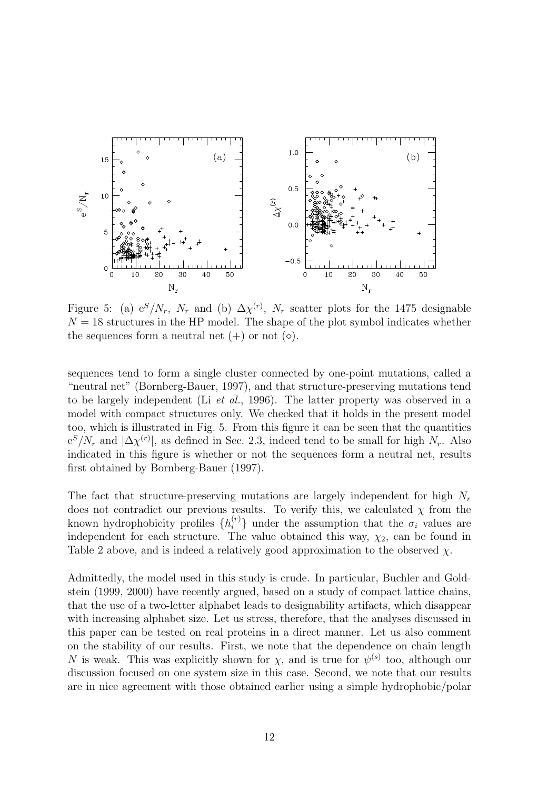

Figure 5: (a)  $e^{S}/N_r$ ,  $N_r$  and (b)  $\Delta \chi^{(r)}$ ,  $N_r$  scatter plots for the 1475 designable  $N = 18$  structures in the HP model. The shape of the plot symbol indicates whether the sequences form a neutral net  $(+)$  or not  $(\diamond)$ .

sequences tend to form a single cluster connected by one-point mutations, called a "neutral net" (Bornberg-Bauer, 1997), and that structure-preserving mutations tend to be largely independent (Li et al., 1996). The latter property was observed in a model with compact structures only. We checked that it holds in the present model too, which is illustrated in Fig. 5. From this figure it can be seen that the quantities  $e^{S}/N_r$  and  $|\Delta \chi^{(r)}|$ , as defined in Sec. 2.3, indeed tend to be small for high  $N_r$ . Also indicated in this figure is whether or not the sequences form a neutral net, results first obtained by Bornberg-Bauer (1997).

The fact that structure-preserving mutations are largely independent for high  $N_r$ does not contradict our previous results. To verify this, we calculated  $\chi$  from the known hydrophobicity profiles  $\{h_i^{(r)}\}$  under the assumption that the  $\sigma_i$  values are independent for each structure. The value obtained this way,  $\chi_2$ , can be found in Table 2 above, and is indeed a relatively good approximation to the observed  $\chi$ .

Admittedly, the model used in this study is crude. In particular, Buchler and Goldstein (1999, 2000) have recently argued, based on a study of compact lattice chains, that the use of a two-letter alphabet leads to designability artifacts, which disappear with increasing alphabet size. Let us stress, therefore, that the analyses discussed in this paper can be tested on real proteins in a direct manner. Let us also comment on the stability of our results. First, we note that the dependence on chain length N is weak. This was explicitly shown for  $\chi$ , and is true for  $\psi^{(s)}$  too, although our discussion focused on one system size in this case. Second, we note that our results are in nice agreement with those obtained earlier using a simple hydrophobic/polar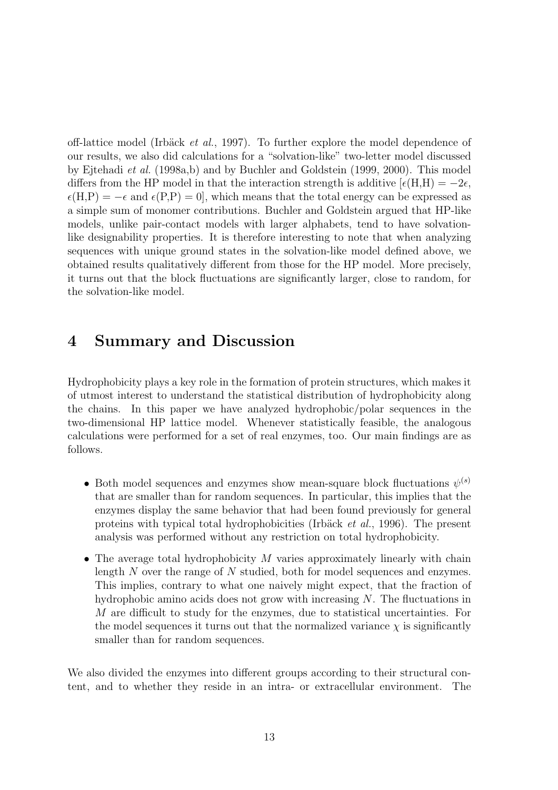off-lattice model (Irbäck et al., 1997). To further explore the model dependence of our results, we also did calculations for a "solvation-like" two-letter model discussed by Ejtehadi et al. (1998a,b) and by Buchler and Goldstein (1999, 2000). This model differs from the HP model in that the interaction strength is additive  $\epsilon(H,H) = -2\epsilon$ ,  $\epsilon(H,P) = -\epsilon$  and  $\epsilon(P,P) = 0$ , which means that the total energy can be expressed as a simple sum of monomer contributions. Buchler and Goldstein argued that HP-like models, unlike pair-contact models with larger alphabets, tend to have solvationlike designability properties. It is therefore interesting to note that when analyzing sequences with unique ground states in the solvation-like model defined above, we obtained results qualitatively different from those for the HP model. More precisely, it turns out that the block fluctuations are significantly larger, close to random, for the solvation-like model.

# 4 Summary and Discussion

Hydrophobicity plays a key role in the formation of protein structures, which makes it of utmost interest to understand the statistical distribution of hydrophobicity along the chains. In this paper we have analyzed hydrophobic/polar sequences in the two-dimensional HP lattice model. Whenever statistically feasible, the analogous calculations were performed for a set of real enzymes, too. Our main findings are as follows.

- Both model sequences and enzymes show mean-square block fluctuations  $\psi^{(s)}$ that are smaller than for random sequences. In particular, this implies that the enzymes display the same behavior that had been found previously for general proteins with typical total hydrophobicities (Irbäck et al., 1996). The present analysis was performed without any restriction on total hydrophobicity.
- The average total hydrophobicity  $M$  varies approximately linearly with chain length N over the range of N studied, both for model sequences and enzymes. This implies, contrary to what one naively might expect, that the fraction of hydrophobic amino acids does not grow with increasing  $N$ . The fluctuations in M are difficult to study for the enzymes, due to statistical uncertainties. For the model sequences it turns out that the normalized variance  $\chi$  is significantly smaller than for random sequences.

We also divided the enzymes into different groups according to their structural content, and to whether they reside in an intra- or extracellular environment. The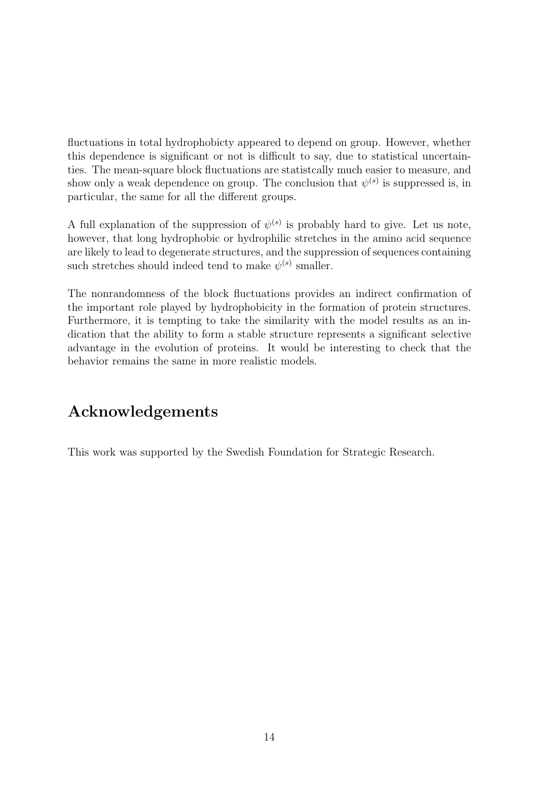fluctuations in total hydrophobicty appeared to depend on group. However, whether this dependence is significant or not is difficult to say, due to statistical uncertainties. The mean-square block fluctuations are statistcally much easier to measure, and show only a weak dependence on group. The conclusion that  $\psi^{(s)}$  is suppressed is, in particular, the same for all the different groups.

A full explanation of the suppression of  $\psi^{(s)}$  is probably hard to give. Let us note, however, that long hydrophobic or hydrophilic stretches in the amino acid sequence are likely to lead to degenerate structures, and the suppression of sequences containing such stretches should indeed tend to make  $\psi^{(s)}$  smaller.

The nonrandomness of the block fluctuations provides an indirect confirmation of the important role played by hydrophobicity in the formation of protein structures. Furthermore, it is tempting to take the similarity with the model results as an indication that the ability to form a stable structure represents a significant selective advantage in the evolution of proteins. It would be interesting to check that the behavior remains the same in more realistic models.

# Acknowledgements

This work was supported by the Swedish Foundation for Strategic Research.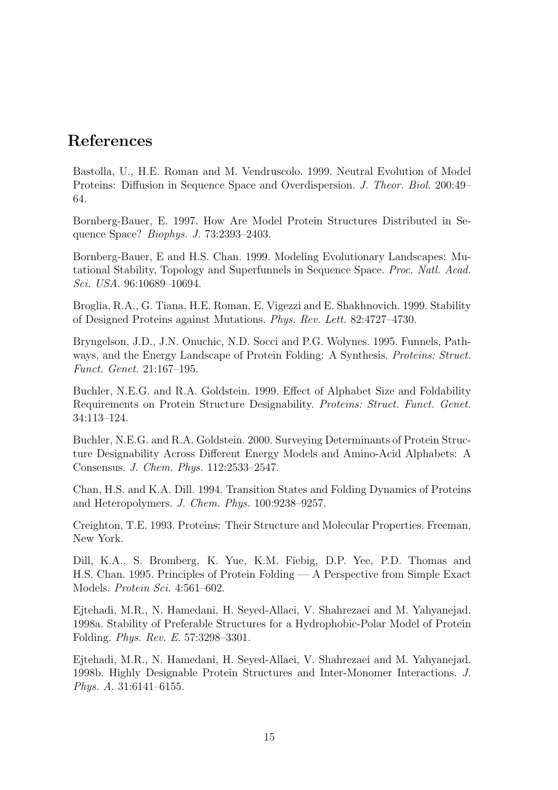# References

Bastolla, U., H.E. Roman and M. Vendruscolo. 1999. Neutral Evolution of Model Proteins: Diffusion in Sequence Space and Overdispersion. J. Theor. Biol. 200:49– 64.

Bornberg-Bauer, E. 1997. How Are Model Protein Structures Distributed in Sequence Space? Biophys. J. 73:2393–2403.

Bornberg-Bauer, E and H.S. Chan. 1999. Modeling Evolutionary Landscapes: Mutational Stability, Topology and Superfunnels in Sequence Space. Proc. Natl. Acad. Sci. USA. 96:10689–10694.

Broglia, R.A., G. Tiana, H.E. Roman, E. Vigezzi and E. Shakhnovich. 1999. Stability of Designed Proteins against Mutations. Phys. Rev. Lett. 82:4727–4730.

Bryngelson, J.D., J.N. Onuchic, N.D. Socci and P.G. Wolynes. 1995. Funnels, Pathways, and the Energy Landscape of Protein Folding: A Synthesis. Proteins: Struct. Funct. Genet. 21:167–195.

Buchler, N.E.G. and R.A. Goldstein. 1999. Effect of Alphabet Size and Foldability Requirements on Protein Structure Designability. Proteins: Struct. Funct. Genet. 34:113–124.

Buchler, N.E.G. and R.A. Goldstein. 2000. Surveying Determinants of Protein Structure Designability Across Different Energy Models and Amino-Acid Alphabets: A Consensus. J. Chem. Phys. 112:2533–2547.

Chan, H.S. and K.A. Dill. 1994. Transition States and Folding Dynamics of Proteins and Heteropolymers. J. Chem. Phys. 100:9238–9257.

Creighton, T.E. 1993. Proteins: Their Structure and Molecular Properties. Freeman, New York.

Dill, K.A., S. Bromberg, K. Yue, K.M. Fiebig, D.P. Yee, P.D. Thomas and H.S. Chan. 1995. Principles of Protein Folding — A Perspective from Simple Exact Models. Protein Sci. 4:561–602.

Ejtehadi, M.R., N. Hamedani, H. Seyed-Allaei, V. Shahrezaei and M. Yahyanejad. 1998a. Stability of Preferable Structures for a Hydrophobic-Polar Model of Protein Folding. Phys. Rev. E. 57:3298–3301.

Ejtehadi, M.R., N. Hamedani, H. Seyed-Allaei, V. Shahrezaei and M. Yahyanejad. 1998b. Highly Designable Protein Structures and Inter-Monomer Interactions. J. Phys. A. 31:6141–6155.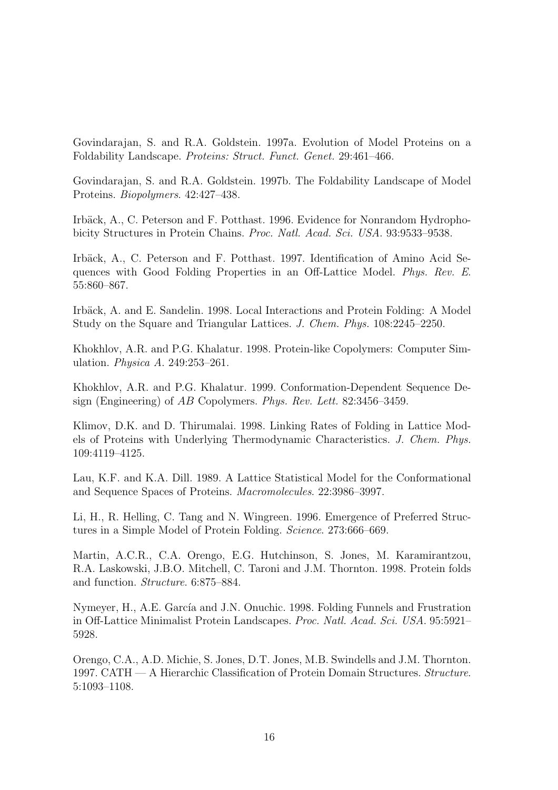Govindarajan, S. and R.A. Goldstein. 1997a. Evolution of Model Proteins on a Foldability Landscape. Proteins: Struct. Funct. Genet. 29:461–466.

Govindarajan, S. and R.A. Goldstein. 1997b. The Foldability Landscape of Model Proteins. Biopolymers. 42:427–438.

Irbäck, A., C. Peterson and F. Potthast. 1996. Evidence for Nonrandom Hydrophobicity Structures in Protein Chains. Proc. Natl. Acad. Sci. USA. 93:9533–9538.

Irbäck, A., C. Peterson and F. Potthast. 1997. Identification of Amino Acid Sequences with Good Folding Properties in an Off-Lattice Model. Phys. Rev. E. 55:860–867.

Irbäck, A. and E. Sandelin. 1998. Local Interactions and Protein Folding: A Model Study on the Square and Triangular Lattices. J. Chem. Phys. 108:2245–2250.

Khokhlov, A.R. and P.G. Khalatur. 1998. Protein-like Copolymers: Computer Simulation. Physica A. 249:253–261.

Khokhlov, A.R. and P.G. Khalatur. 1999. Conformation-Dependent Sequence Design (Engineering) of AB Copolymers. Phys. Rev. Lett. 82:3456–3459.

Klimov, D.K. and D. Thirumalai. 1998. Linking Rates of Folding in Lattice Models of Proteins with Underlying Thermodynamic Characteristics. J. Chem. Phys. 109:4119–4125.

Lau, K.F. and K.A. Dill. 1989. A Lattice Statistical Model for the Conformational and Sequence Spaces of Proteins. Macromolecules. 22:3986–3997.

Li, H., R. Helling, C. Tang and N. Wingreen. 1996. Emergence of Preferred Structures in a Simple Model of Protein Folding. Science. 273:666–669.

Martin, A.C.R., C.A. Orengo, E.G. Hutchinson, S. Jones, M. Karamirantzou, R.A. Laskowski, J.B.O. Mitchell, C. Taroni and J.M. Thornton. 1998. Protein folds and function. Structure. 6:875–884.

Nymeyer, H., A.E. García and J.N. Onuchic. 1998. Folding Funnels and Frustration in Off-Lattice Minimalist Protein Landscapes. Proc. Natl. Acad. Sci. USA. 95:5921– 5928.

Orengo, C.A., A.D. Michie, S. Jones, D.T. Jones, M.B. Swindells and J.M. Thornton. 1997. CATH — A Hierarchic Classification of Protein Domain Structures. Structure. 5:1093–1108.